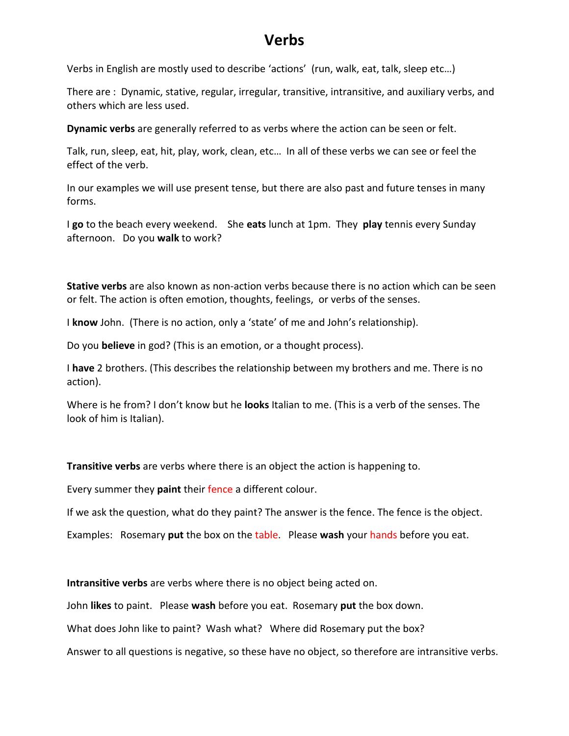## **Verbs**

Verbs in English are mostly used to describe 'actions' (run, walk, eat, talk, sleep etc…)

There are : Dynamic, stative, regular, irregular, transitive, intransitive, and auxiliary verbs, and others which are less used.

**Dynamic verbs** are generally referred to as verbs where the action can be seen or felt.

Talk, run, sleep, eat, hit, play, work, clean, etc… In all of these verbs we can see or feel the effect of the verb.

In our examples we will use present tense, but there are also past and future tenses in many forms.

I **go** to the beach every weekend. She **eats** lunch at 1pm. They **play** tennis every Sunday afternoon. Do you **walk** to work?

**Stative verbs** are also known as non-action verbs because there is no action which can be seen or felt. The action is often emotion, thoughts, feelings, or verbs of the senses.

I **know** John. (There is no action, only a 'state' of me and John's relationship).

Do you **believe** in god? (This is an emotion, or a thought process).

I **have** 2 brothers. (This describes the relationship between my brothers and me. There is no action).

Where is he from? I don't know but he **looks** Italian to me. (This is a verb of the senses. The look of him is Italian).

**Transitive verbs** are verbs where there is an object the action is happening to.

Every summer they **paint** their fence a different colour.

If we ask the question, what do they paint? The answer is the fence. The fence is the object.

Examples: Rosemary **put** the box on the table. Please **wash** your hands before you eat.

**Intransitive verbs** are verbs where there is no object being acted on.

John **likes** to paint. Please **wash** before you eat. Rosemary **put** the box down.

What does John like to paint? Wash what? Where did Rosemary put the box?

Answer to all questions is negative, so these have no object, so therefore are intransitive verbs.